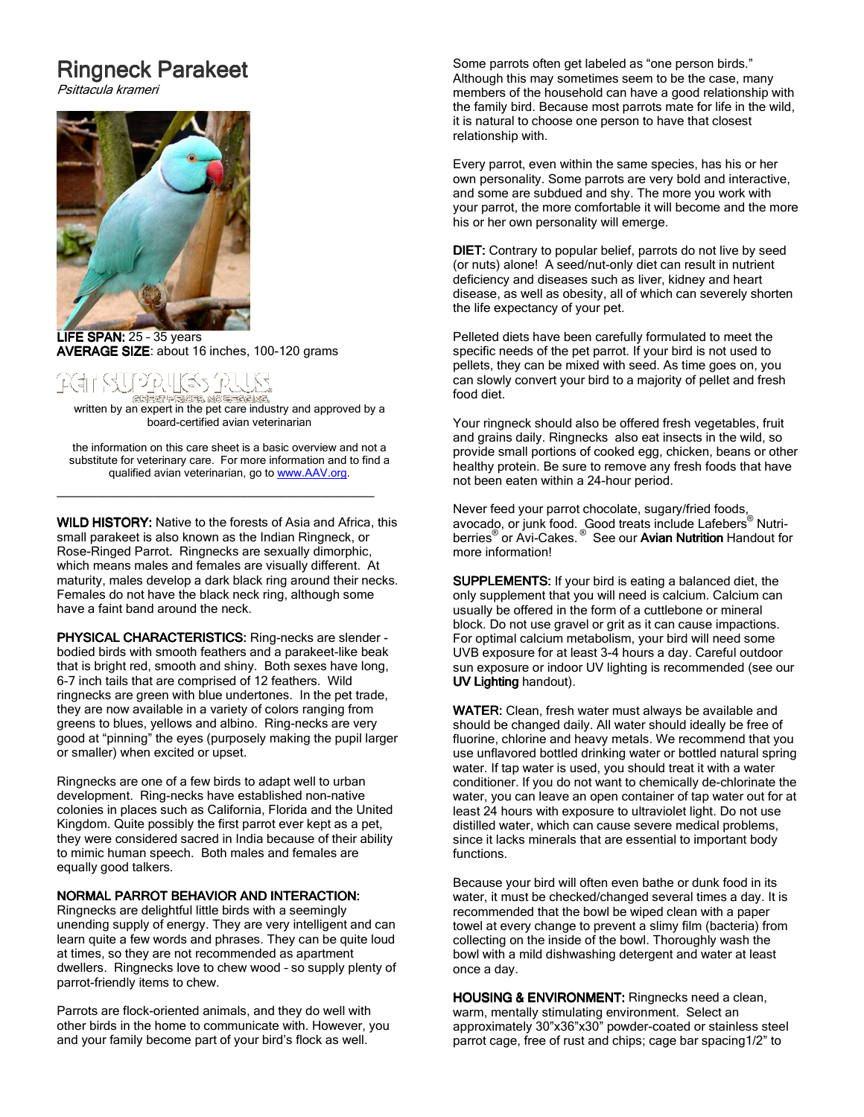# **Ringneck Parakeet**

Psittacula krameri



 $\overline{\phantom{a}}$ LIFE SPAN:  $25 - 35$  years AVERAGE SIZE: about 16 inches, 100-120 grams

## PP, HES 12. GREAT PRICES NO GEORGINAL

<u>का उन्हार भारतका अवस्थितका का स्थापक</u><br>written by an expert in the pet care industry and approved by a board-certified avian veterinarian

the information on this care sheet is a basic overview and not a substitute for veterinary care. For more information and to find a qualified avian veterinarian, go to www.AAV.org.

\_\_\_\_\_\_\_\_\_\_\_\_\_\_\_\_\_\_\_\_\_\_\_\_\_\_\_\_\_\_\_\_\_\_

WILD HISTORY: Native to the forests of Asia and Africa, this small parakeet is also known as the Indian Ringneck, or Rose-Ringed Parrot. Ringnecks are sexually dimorphic, which means males and females are visually different. At maturity, males develop a dark black ring around their necks. Females do not have the black neck ring, although some have a faint band around the neck.

PHYSICAL CHARACTERISTICS: Ring-necks are slender bodied birds with smooth feathers and a parakeet-like beak that is bright red, smooth and shiny. Both sexes have long, 6-7 inch tails that are comprised of 12 feathers. Wild ringnecks are green with blue undertones. In the pet trade, they are now available in a variety of colors ranging from greens to blues, yellows and albino. Ring-necks are very good at "pinning" the eyes (purposely making the pupil larger or smaller) when excited or upset.

Ringnecks are one of a few birds to adapt well to urban development. Ring-necks have established non-native colonies in places such as California, Florida and the United Kingdom. Quite possibly the first parrot ever kept as a pet, they were considered sacred in India because of their ability to mimic human speech. Both males and females are equally good talkers.

### NORMAL PARROT BEHAVIOR AND INTERACTION:

Ringnecks are delightful little birds with a seemingly unending supply of energy. They are very intelligent and can learn quite a few words and phrases. They can be quite loud at times, so they are not recommended as apartment dwellers. Ringnecks love to chew wood – so supply plenty of parrot-friendly items to chew.

Parrots are flock-oriented animals, and they do well with other birds in the home to communicate with. However, you and your family become part of your bird's flock as well.

Some parrots often get labeled as "one person birds." Although this may sometimes seem to be the case, many members of the household can have a good relationship with the family bird. Because most parrots mate for life in the wild, it is natural to choose one person to have that closest relationship with.

Every parrot, even within the same species, has his or her own personality. Some parrots are very bold and interactive, and some are subdued and shy. The more you work with your parrot, the more comfortable it will become and the more his or her own personality will emerge.

DIET: Contrary to popular belief, parrots do not live by seed (or nuts) alone! A seed/nut-only diet can result in nutrient deficiency and diseases such as liver, kidney and heart disease, as well as obesity, all of which can severely shorten the life expectancy of your pet.

Pelleted diets have been carefully formulated to meet the specific needs of the pet parrot. If your bird is not used to pellets, they can be mixed with seed. As time goes on, you can slowly convert your bird to a majority of pellet and fresh food diet.

Your ringneck should also be offered fresh vegetables, fruit and grains daily. Ringnecks also eat insects in the wild, so provide small portions of cooked egg, chicken, beans or other healthy protein. Be sure to remove any fresh foods that have not been eaten within a 24-hour period.

Never feed your parrot chocolate, sugary/fried foods, avocado, or junk food. Good treats include Lafebers® Nutriberries<sup>®</sup> or Avi-Cakes.<sup>®</sup> See our Avian Nutrition Handout for more information!

**SUPPLEMENTS:** If your bird is eating a balanced diet, the only supplement that you will need is calcium. Calcium can usually be offered in the form of a cuttlebone or mineral block. Do not use gravel or grit as it can cause impactions. For optimal calcium metabolism, your bird will need some UVB exposure for at least 3-4 hours a day. Careful outdoor sun exposure or indoor UV lighting is recommended (see our UV Lighting handout).

WATER: Clean, fresh water must always be available and should be changed daily. All water should ideally be free of fluorine, chlorine and heavy metals. We recommend that you use unflavored bottled drinking water or bottled natural spring water. If tap water is used, you should treat it with a water conditioner. If you do not want to chemically de-chlorinate the water, you can leave an open container of tap water out for at least 24 hours with exposure to ultraviolet light. Do not use distilled water, which can cause severe medical problems, since it lacks minerals that are essential to important body functions.

Because your bird will often even bathe or dunk food in its water, it must be checked/changed several times a day. It is recommended that the bowl be wiped clean with a paper towel at every change to prevent a slimy film (bacteria) from collecting on the inside of the bowl. Thoroughly wash the bowl with a mild dishwashing detergent and water at least once a day.

HOUSING & ENVIRONMENT: Ringnecks need a clean, warm, mentally stimulating environment. Select an approximately 30"x36"x30" powder-coated or stainless steel parrot cage, free of rust and chips; cage bar spacing1/2" to